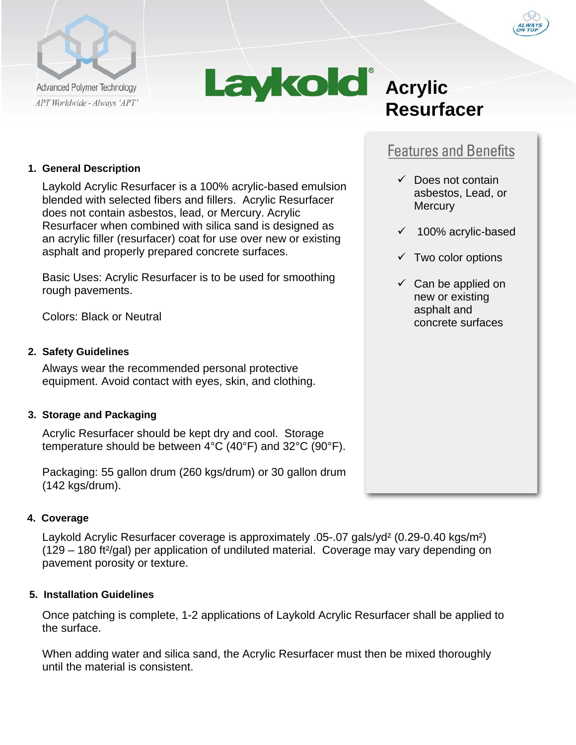



# **Resurfacer**

# **Features and Benefits**

- $\checkmark$  Does not contain asbestos, Lead, or **Mercury**
- $\times$  100% acrylic-based
- $\checkmark$  Two color options
- $\checkmark$  Can be applied on new or existing asphalt and concrete surfaces

## **1. General Description**

Laykold Acrylic Resurfacer is a 100% acrylic-based emulsion blended with selected fibers and fillers. Acrylic Resurfacer does not contain asbestos, lead, or Mercury. Acrylic Resurfacer when combined with silica sand is designed as an acrylic filler (resurfacer) coat for use over new or existing asphalt and properly prepared concrete surfaces.

Basic Uses: Acrylic Resurfacer is to be used for smoothing rough pavements.

Colors: Black or Neutral

### **2. Safety Guidelines**

Always wear the recommended personal protective equipment. Avoid contact with eyes, skin, and clothing.

#### **3. Storage and Packaging**

Acrylic Resurfacer should be kept dry and cool. Storage temperature should be between 4°C (40°F) and 32°C (90°F).

Packaging: 55 gallon drum (260 kgs/drum) or 30 gallon drum (142 kgs/drum).

# **4. Coverage**

Laykold Acrylic Resurfacer coverage is approximately .05-.07 gals/yd² (0.29-0.40 kgs/m²) (129 – 180 ft²/gal) per application of undiluted material. Coverage may vary depending on pavement porosity or texture.

#### **5. Installation Guidelines**

Once patching is complete, 1-2 applications of Laykold Acrylic Resurfacer shall be applied to the surface.

When adding water and silica sand, the Acrylic Resurfacer must then be mixed thoroughly until the material is consistent.